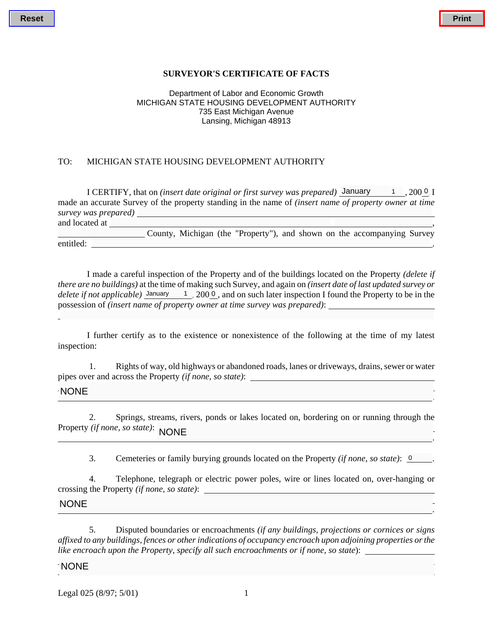## **SURVEYOR'S CERTIFICATE OF FACTS**

#### Department of Labor and Economic Growth MICHIGAN STATE HOUSING DEVELOPMENT AUTHORITY 735 East Michigan Avenue Lansing, Michigan 48913

### TO: MICHIGAN STATE HOUSING DEVELOPMENT AUTHORITY

I CERTIFY, that on *(insert date original or first survey was prepared)* January 1, 2000, I made an accurate Survey of the property standing in the name of *(insert name of property owner at time survey was prepared)* and located at ,

 County, Michigan (the "Property"), and shown on the accompanying Survey entitled: <u>.</u>

I made a careful inspection of the Property and of the buildings located on the Property *(delete if there are no buildings)* at the time of making such Survey, and again on *(insert date of last updated survey or*  delete if not applicable) January 1, 2000, and on such later inspection I found the Property to be in the possession of *(insert name of property owner at time survey was prepared)*:

I further certify as to the existence or nonexistence of the following at the time of my latest inspection:

. A construction of the construction of the construction of the construction of the construction of the constr<br>The construction of the construction of the construction of the construction of the construction of the constr

 1. Rights of way, old highways or abandoned roads, lanes or driveways, drains, sewer or water pipes over and across the Property *(if none, so state)*:

#### NONE <u>.</u>

 2. Springs, streams, rivers, ponds or lakes located on, bordering on or running through the Property *(if none, so state)*: NONE <u>NONE</u>

3. Cemeteries or family burying grounds located on the Property *(if none, so state)*: <u>0</u>.

 4. Telephone, telegraph or electric power poles, wire or lines located on, over-hanging or crossing the Property *(if none, so state)*:

#### NONE  $\begin{array}{c}\n\hline\n\end{array}\n\quad\n\begin{array}{c}\n\hline\n\end{array}\n\quad\n\begin{array}{c}\n\hline\n\end{array}\n\quad\n\begin{array}{c}\n\hline\n\end{array}\n\quad\n\begin{array}{c}\n\hline\n\end{array}\n\quad\n\begin{array}{c}\n\hline\n\end{array}\n\quad\n\begin{array}{c}\n\hline\n\end{array}\n\quad\n\begin{array}{c}\n\hline\n\end{array}\n\quad\n\begin{array}{c}\n\hline\n\end{array}\n\quad\n\begin{array}{c}\n\hline\n\end{array}\n\quad\n\begin{array}{c}\n\h$

 5. Disputed boundaries or encroachments *(if any buildings, projections or cornices or signs affixed to any buildings, fences or other indications of occupancy encroach upon adjoining properties or the like encroach upon the Property, specify all such encroachments or if none, so state*):

#### $\overline{\phantom{a}}$ NONE

Legal  $0.25 (8/97; 5/01)$  1